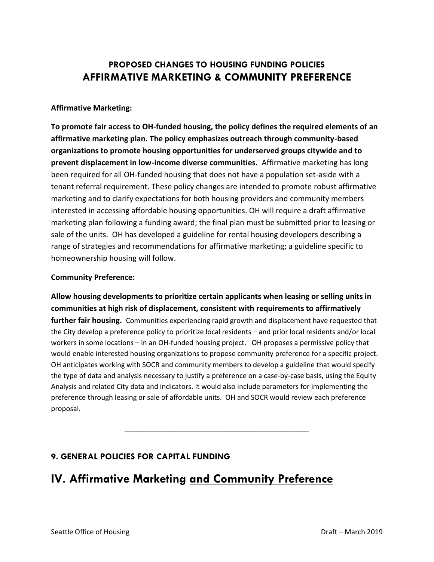## **PROPOSED CHANGES TO HOUSING FUNDING POLICIES AFFIRMATIVE MARKETING & COMMUNITY PREFERENCE**

### **Affirmative Marketing:**

**To promote fair access to OH-funded housing, the policy defines the required elements of an affirmative marketing plan. The policy emphasizes outreach through community-based organizations to promote housing opportunities for underserved groups citywide and to prevent displacement in low-income diverse communities.** Affirmative marketing has long been required for all OH-funded housing that does not have a population set-aside with a tenant referral requirement. These policy changes are intended to promote robust affirmative marketing and to clarify expectations for both housing providers and community members interested in accessing affordable housing opportunities. OH will require a draft affirmative marketing plan following a funding award; the final plan must be submitted prior to leasing or sale of the units. OH has developed a guideline for rental housing developers describing a range of strategies and recommendations for affirmative marketing; a guideline specific to homeownership housing will follow.

### **Community Preference:**

**Allow housing developments to prioritize certain applicants when leasing or selling units in communities at high risk of displacement, consistent with requirements to affirmatively further fair housing.** Communities experiencing rapid growth and displacement have requested that the City develop a preference policy to prioritize local residents – and prior local residents and/or local workers in some locations – in an OH-funded housing project. OH proposes a permissive policy that would enable interested housing organizations to propose community preference for a specific project. OH anticipates working with SOCR and community members to develop a guideline that would specify the type of data and analysis necessary to justify a preference on a case-by-case basis, using the Equity Analysis and related City data and indicators. It would also include parameters for implementing the preference through leasing or sale of affordable units. OH and SOCR would review each preference proposal.

**\_\_\_\_\_\_\_\_\_\_\_\_\_\_\_\_\_\_\_\_\_\_\_\_\_\_\_\_\_\_\_\_\_\_\_\_\_\_\_\_**

## **9. GENERAL POLICIES FOR CAPITAL FUNDING**

# **IV. Affirmative Marketing and Community Preference**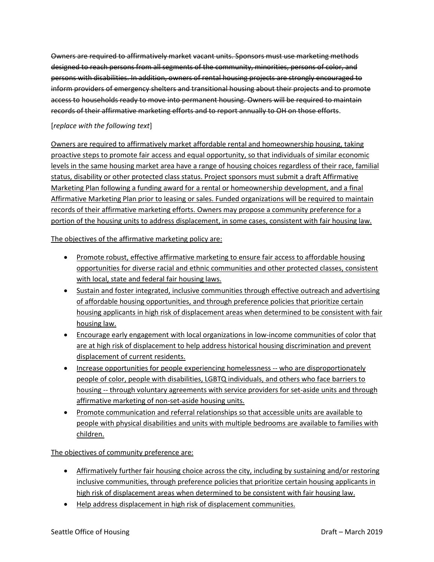Owners are required to affirmatively market vacant units. Sponsors must use marketing methods designed to reach persons from all segments of the community, minorities, persons of color, and persons with disabilities. In addition, owners of rental housing projects are strongly encouraged to inform providers of emergency shelters and transitional housing about their projects and to promote access to households ready to move into permanent housing. Owners will be required to maintain records of their affirmative marketing efforts and to report annually to OH on those efforts.

#### [*replace with the following text*]

Owners are required to affirmatively market affordable rental and homeownership housing, taking proactive steps to promote fair access and equal opportunity, so that individuals of similar economic levels in the same housing market area have a range of housing choices regardless of their race, familial status, disability or other protected class status. Project sponsors must submit a draft Affirmative Marketing Plan following a funding award for a rental or homeownership development, and a final Affirmative Marketing Plan prior to leasing or sales. Funded organizations will be required to maintain records of their affirmative marketing efforts. Owners may propose a community preference for a portion of the housing units to address displacement, in some cases, consistent with fair housing law.

The objectives of the affirmative marketing policy are:

- Promote robust, effective affirmative marketing to ensure fair access to affordable housing opportunities for diverse racial and ethnic communities and other protected classes, consistent with local, state and federal fair housing laws.
- Sustain and foster integrated, inclusive communities through effective outreach and advertising of affordable housing opportunities, and through preference policies that prioritize certain housing applicants in high risk of displacement areas when determined to be consistent with fair housing law.
- Encourage early engagement with local organizations in low-income communities of color that are at high risk of displacement to help address historical housing discrimination and prevent displacement of current residents.
- Increase opportunities for people experiencing homelessness -- who are disproportionately people of color, people with disabilities, LGBTQ individuals, and others who face barriers to housing -- through voluntary agreements with service providers for set-aside units and through affirmative marketing of non-set-aside housing units.
- Promote communication and referral relationships so that accessible units are available to people with physical disabilities and units with multiple bedrooms are available to families with children.

The objectives of community preference are:

- Affirmatively further fair housing choice across the city, including by sustaining and/or restoring inclusive communities, through preference policies that prioritize certain housing applicants in high risk of displacement areas when determined to be consistent with fair housing law.
- Help address displacement in high risk of displacement communities.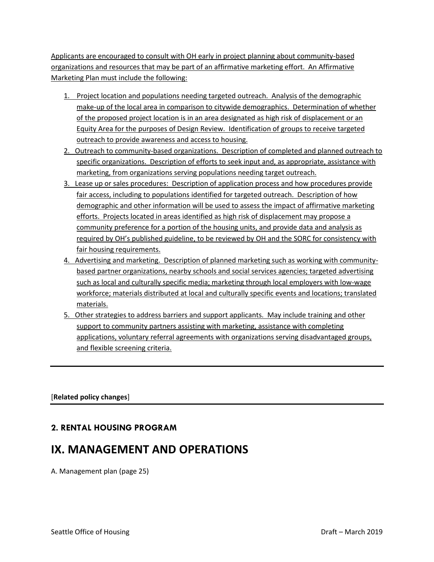Applicants are encouraged to consult with OH early in project planning about community-based organizations and resources that may be part of an affirmative marketing effort. An Affirmative Marketing Plan must include the following:

- 1. Project location and populations needing targeted outreach. Analysis of the demographic make-up of the local area in comparison to citywide demographics. Determination of whether of the proposed project location is in an area designated as high risk of displacement or an Equity Area for the purposes of Design Review. Identification of groups to receive targeted outreach to provide awareness and access to housing.
- 2. Outreach to community-based organizations. Description of completed and planned outreach to specific organizations. Description of efforts to seek input and, as appropriate, assistance with marketing, from organizations serving populations needing target outreach.
- 3. Lease up or sales procedures: Description of application process and how procedures provide fair access, including to populations identified for targeted outreach. Description of how demographic and other information will be used to assess the impact of affirmative marketing efforts. Projects located in areas identified as high risk of displacement may propose a community preference for a portion of the housing units, and provide data and analysis as required by OH's published guideline, to be reviewed by OH and the SORC for consistency with fair housing requirements.
- 4. Advertising and marketing. Description of planned marketing such as working with communitybased partner organizations, nearby schools and social services agencies; targeted advertising such as local and culturally specific media; marketing through local employers with low-wage workforce; materials distributed at local and culturally specific events and locations; translated materials.
- 5. Other strategies to address barriers and support applicants. May include training and other support to community partners assisting with marketing, assistance with completing applications, voluntary referral agreements with organizations serving disadvantaged groups, and flexible screening criteria.

[**Related policy changes**]

## **2. RENTAL HOUSING PROGRAM**

# **IX. MANAGEMENT AND OPERATIONS**

A. Management plan (page 25)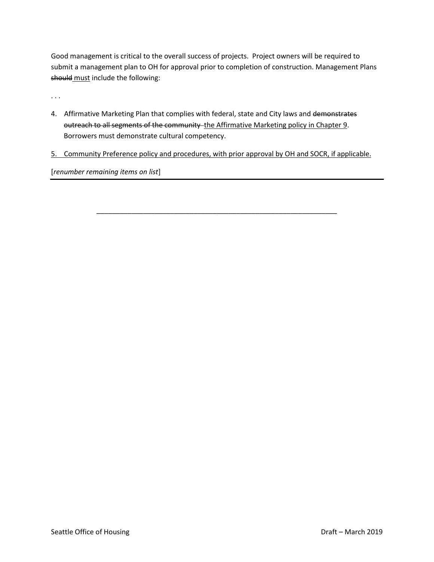Good management is critical to the overall success of projects. Project owners will be required to submit a management plan to OH for approval prior to completion of construction. Management Plans should must include the following:

. . .

- 4. Affirmative Marketing Plan that complies with federal, state and City laws and demonstrates outreach to all segments of the community - the Affirmative Marketing policy in Chapter 9. Borrowers must demonstrate cultural competency.
- 5. Community Preference policy and procedures, with prior approval by OH and SOCR, if applicable.

\_\_\_\_\_\_\_\_\_\_\_\_\_\_\_\_\_\_\_\_\_\_\_\_\_\_\_\_\_\_\_\_\_\_\_\_\_\_\_\_\_\_\_\_\_\_\_\_\_\_\_\_\_\_\_\_\_\_\_\_\_\_

[*renumber remaining items on list*]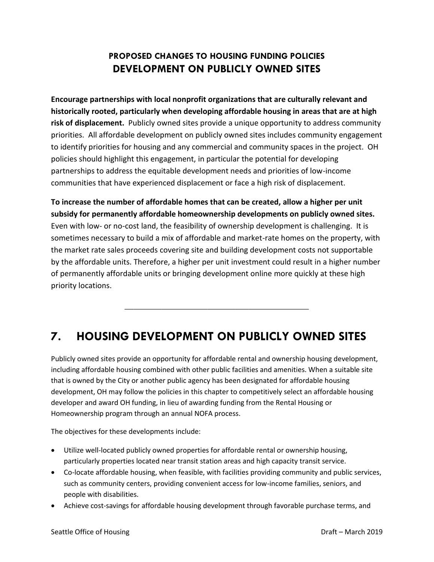## **PROPOSED CHANGES TO HOUSING FUNDING POLICIES DEVELOPMENT ON PUBLICLY OWNED SITES**

**Encourage partnerships with local nonprofit organizations that are culturally relevant and historically rooted, particularly when developing affordable housing in areas that are at high risk of displacement.** Publicly owned sites provide a unique opportunity to address community priorities. All affordable development on publicly owned sites includes community engagement to identify priorities for housing and any commercial and community spaces in the project. OH policies should highlight this engagement, in particular the potential for developing partnerships to address the equitable development needs and priorities of low-income communities that have experienced displacement or face a high risk of displacement.

**To increase the number of affordable homes that can be created, allow a higher per unit subsidy for permanently affordable homeownership developments on publicly owned sites.**  Even with low- or no-cost land, the feasibility of ownership development is challenging. It is sometimes necessary to build a mix of affordable and market-rate homes on the property, with the market rate sales proceeds covering site and building development costs not supportable by the affordable units. Therefore, a higher per unit investment could result in a higher number of permanently affordable units or bringing development online more quickly at these high priority locations.

**\_\_\_\_\_\_\_\_\_\_\_\_\_\_\_\_\_\_\_\_\_\_\_\_\_\_\_\_\_\_\_\_\_\_\_\_\_\_\_\_**

# **7. HOUSING DEVELOPMENT ON PUBLICLY OWNED SITES**

Publicly owned sites provide an opportunity for affordable rental and ownership housing development, including affordable housing combined with other public facilities and amenities. When a suitable site that is owned by the City or another public agency has been designated for affordable housing development, OH may follow the policies in this chapter to competitively select an affordable housing developer and award OH funding, in lieu of awarding funding from the Rental Housing or Homeownership program through an annual NOFA process.

The objectives for these developments include:

- Utilize well-located publicly owned properties for affordable rental or ownership housing, particularly properties located near transit station areas and high capacity transit service.
- Co-locate affordable housing, when feasible, with facilities providing community and public services, such as community centers, providing convenient access for low-income families, seniors, and people with disabilities.
- Achieve cost-savings for affordable housing development through favorable purchase terms, and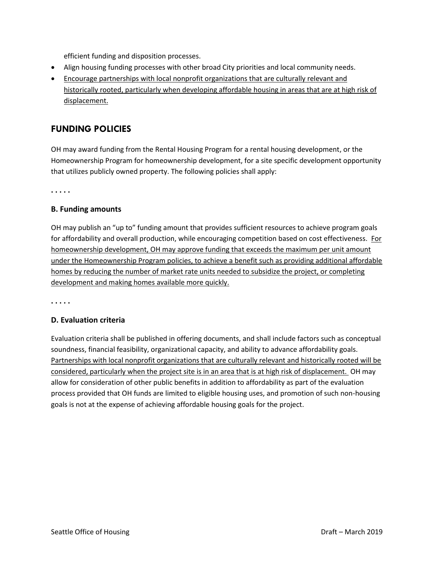efficient funding and disposition processes.

- Align housing funding processes with other broad City priorities and local community needs.
- Encourage partnerships with local nonprofit organizations that are culturally relevant and historically rooted, particularly when developing affordable housing in areas that are at high risk of displacement.

## **FUNDING POLICIES**

OH may award funding from the Rental Housing Program for a rental housing development, or the Homeownership Program for homeownership development, for a site specific development opportunity that utilizes publicly owned property. The following policies shall apply:

**. . . . .**

#### **B. Funding amounts**

OH may publish an "up to" funding amount that provides sufficient resources to achieve program goals for affordability and overall production, while encouraging competition based on cost effectiveness. For homeownership development, OH may approve funding that exceeds the maximum per unit amount under the Homeownership Program policies, to achieve a benefit such as providing additional affordable homes by reducing the number of market rate units needed to subsidize the project, or completing development and making homes available more quickly.

**. . . . .**

#### **D. Evaluation criteria**

Evaluation criteria shall be published in offering documents, and shall include factors such as conceptual soundness, financial feasibility, organizational capacity, and ability to advance affordability goals. Partnerships with local nonprofit organizations that are culturally relevant and historically rooted will be considered, particularly when the project site is in an area that is at high risk of displacement. OH may allow for consideration of other public benefits in addition to affordability as part of the evaluation process provided that OH funds are limited to eligible housing uses, and promotion of such non-housing goals is not at the expense of achieving affordable housing goals for the project.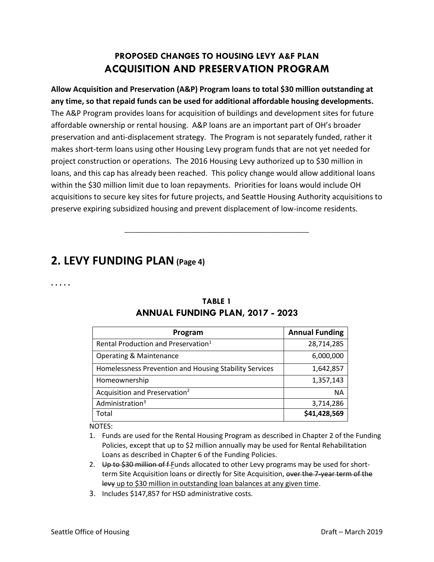## **PROPOSED CHANGES TO HOUSING LEVY A&F PLAN ACQUISITION AND PRESERVATION PROGRAM**

**Allow Acquisition and Preservation (A&P) Program loans to total \$30 million outstanding at any time, so that repaid funds can be used for additional affordable housing developments.**  The A&P Program provides loans for acquisition of buildings and development sites for future affordable ownership or rental housing. A&P loans are an important part of OH's broader preservation and anti-displacement strategy. The Program is not separately funded, rather it makes short-term loans using other Housing Levy program funds that are not yet needed for project construction or operations. The 2016 Housing Levy authorized up to \$30 million in loans, and this cap has already been reached. This policy change would allow additional loans within the \$30 million limit due to loan repayments. Priorities for loans would include OH acquisitions to secure key sites for future projects, and Seattle Housing Authority acquisitions to preserve expiring subsidized housing and prevent displacement of low-income residents.

**\_\_\_\_\_\_\_\_\_\_\_\_\_\_\_\_\_\_\_\_\_\_\_\_\_\_\_\_\_\_\_\_\_\_\_\_\_\_\_\_**

# **2. LEVY FUNDING PLAN (Page 4)**

**. . . . .**

| Program                                                | <b>Annual Funding</b> |
|--------------------------------------------------------|-----------------------|
| Rental Production and Preservation <sup>1</sup>        | 28,714,285            |
| <b>Operating &amp; Maintenance</b>                     | 6,000,000             |
| Homelessness Prevention and Housing Stability Services | 1,642,857             |
| Homeownership                                          | 1,357,143             |
| Acquisition and Preservation <sup>2</sup>              | <b>NA</b>             |
| Administration <sup>3</sup>                            | 3,714,286             |
| Total                                                  | \$41,428,569          |

## **TABLE 1 ANNUAL FUNDING PLAN, 2017 - 2023**

NOTES:

- 1. Funds are used for the Rental Housing Program as described in Chapter 2 of the Funding Policies, except that up to \$2 million annually may be used for Rental Rehabilitation Loans as described in Chapter 6 of the Funding Policies.
- 2. Up to \$30 million of f-Eunds allocated to other Levy programs may be used for shortterm Site Acquisition loans or directly for Site Acquisition, over the 7-year term of the levy up to \$30 million in outstanding loan balances at any given time.
- 3. Includes \$147,857 for HSD administrative costs.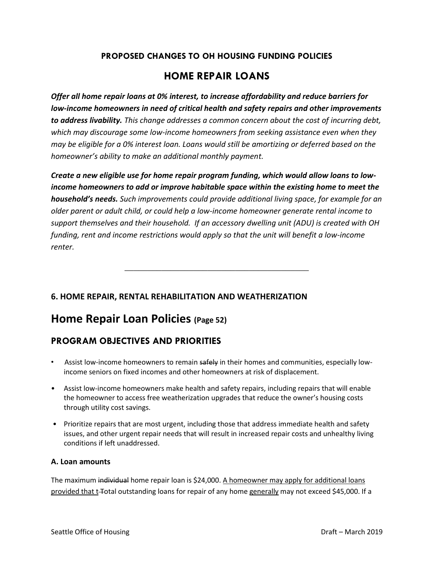# **PROPOSED CHANGES TO OH HOUSING FUNDING POLICIES**

## **HOME REPAIR LOANS**

*Offer all home repair loans at 0% interest, to increase affordability and reduce barriers for low-income homeowners in need of critical health and safety repairs and other improvements to address livability. This change addresses a common concern about the cost of incurring debt, which may discourage some low-income homeowners from seeking assistance even when they may be eligible for a 0% interest loan. Loans would still be amortizing or deferred based on the homeowner's ability to make an additional monthly payment.*

*Create a new eligible use for home repair program funding, which would allow loans to lowincome homeowners to add or improve habitable space within the existing home to meet the household's needs. Such improvements could provide additional living space, for example for an older parent or adult child, or could help a low-income homeowner generate rental income to support themselves and their household. If an accessory dwelling unit (ADU) is created with OH funding, rent and income restrictions would apply so that the unit will benefit a low-income renter.*

**\_\_\_\_\_\_\_\_\_\_\_\_\_\_\_\_\_\_\_\_\_\_\_\_\_\_\_\_\_\_\_\_\_\_\_\_\_\_\_\_**

## **6. HOME REPAIR, RENTAL REHABILITATION AND WEATHERIZATION**

## **Home Repair Loan Policies (Page 52)**

## **PROGRAM OBJECTIVES AND PRIORITIES**

- Assist low-income homeowners to remain safely in their homes and communities, especially lowincome seniors on fixed incomes and other homeowners at risk of displacement.
- Assist low-income homeowners make health and safety repairs, including repairs that will enable the homeowner to access free weatherization upgrades that reduce the owner's housing costs through utility cost savings.
- Prioritize repairs that are most urgent, including those that address immediate health and safety issues, and other urgent repair needs that will result in increased repair costs and unhealthy living conditions if left unaddressed.

### **A. Loan amounts**

The maximum individual home repair loan is \$24,000. A homeowner may apply for additional loans provided that t-Total outstanding loans for repair of any home generally may not exceed \$45,000. If a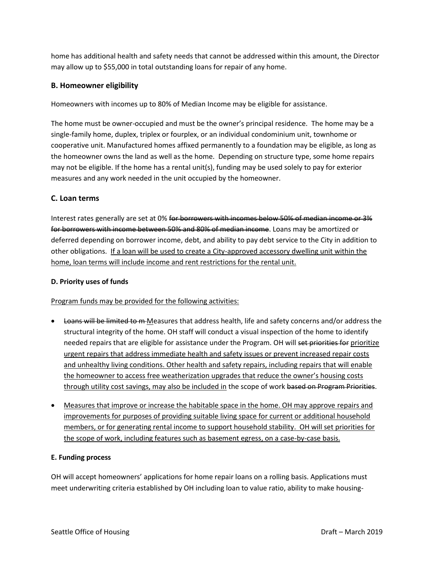home has additional health and safety needs that cannot be addressed within this amount, the Director may allow up to \$55,000 in total outstanding loans for repair of any home.

### **B. Homeowner eligibility**

Homeowners with incomes up to 80% of Median Income may be eligible for assistance.

The home must be owner-occupied and must be the owner's principal residence. The home may be a single-family home, duplex, triplex or fourplex, or an individual condominium unit, townhome or cooperative unit. Manufactured homes affixed permanently to a foundation may be eligible, as long as the homeowner owns the land as well as the home. Depending on structure type, some home repairs may not be eligible. If the home has a rental unit(s), funding may be used solely to pay for exterior measures and any work needed in the unit occupied by the homeowner.

### **C. Loan terms**

Interest rates generally are set at 0% for borrowers with incomes below 50% of median income or 3% for borrowers with income between 50% and 80% of median income. Loans may be amortized or deferred depending on borrower income, debt, and ability to pay debt service to the City in addition to other obligations. If a loan will be used to create a City-approved accessory dwelling unit within the home, loan terms will include income and rent restrictions for the rental unit.

### **D. Priority uses of funds**

Program funds may be provided for the following activities:

- Loans will be limited to m-Measures that address health, life and safety concerns and/or address the structural integrity of the home. OH staff will conduct a visual inspection of the home to identify needed repairs that are eligible for assistance under the Program. OH will set priorities for prioritize urgent repairs that address immediate health and safety issues or prevent increased repair costs and unhealthy living conditions. Other health and safety repairs, including repairs that will enable the homeowner to access free weatherization upgrades that reduce the owner's housing costs through utility cost savings, may also be included in the scope of work based on Program Priorities.
- Measures that improve or increase the habitable space in the home. OH may approve repairs and improvements for purposes of providing suitable living space for current or additional household members, or for generating rental income to support household stability. OH will set priorities for the scope of work, including features such as basement egress, on a case-by-case basis.

#### **E. Funding process**

OH will accept homeowners' applications for home repair loans on a rolling basis. Applications must meet underwriting criteria established by OH including loan to value ratio, ability to make housing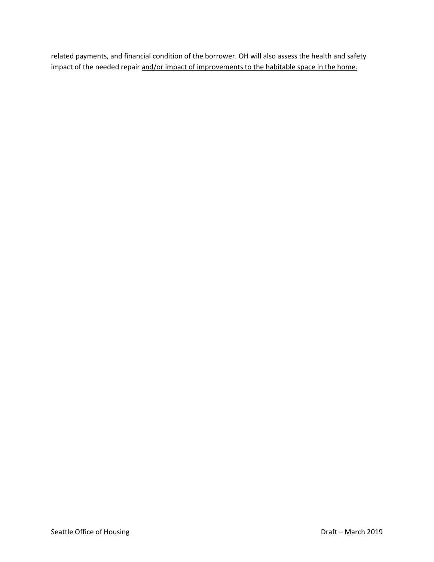related payments, and financial condition of the borrower. OH will also assess the health and safety impact of the needed repair and/or impact of improvements to the habitable space in the home.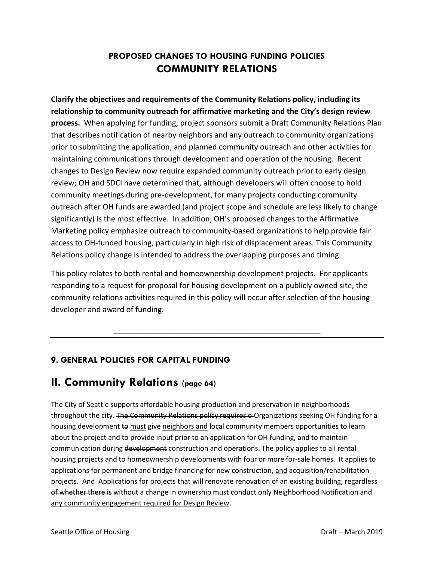## **PROPOSED CHANGES TO HOUSING FUNDING POLICIES COMMUNITY RELATIONS**

**Clarify the objectives and requirements of the Community Relations policy, including its relationship to community outreach for affirmative marketing and the City's design review process.** When applying for funding, project sponsors submit a Draft Community Relations Plan that describes notification of nearby neighbors and any outreach to community organizations prior to submitting the application, and planned community outreach and other activities for maintaining communications through development and operation of the housing. Recent changes to Design Review now require expanded community outreach prior to early design review; OH and SDCI have determined that, although developers will often choose to hold community meetings during pre-development, for many projects conducting community outreach after OH funds are awarded (and project scope and schedule are less likely to change significantly) is the most effective. In addition, OH's proposed changes to the Affirmative Marketing policy emphasize outreach to community-based organizations to help provide fair access to OH-funded housing, particularly in high risk of displacement areas. This Community Relations policy change is intended to address the overlapping purposes and timing.

This policy relates to both rental and homeownership development projects. For applicants responding to a request for proposal for housing development on a publicly owned site, the community relations activities required in this policy will occur after selection of the housing developer and award of funding.

\_\_\_\_\_\_\_\_\_\_\_\_\_\_\_\_\_\_\_\_\_\_\_\_\_\_\_\_\_\_\_\_\_\_\_\_\_\_\_\_\_\_\_\_\_

## **9. GENERAL POLICIES FOR CAPITAL FUNDING**

# **II. Community Relations (page 64)**

The City of Seattle supports affordable housing production and preservation in neighborhoods throughout the city. The Community Relations policy requires o Organizations seeking OH funding for a housing development to must give neighbors and local community members opportunities to learn about the project and to provide input prior to an application for OH funding, and to maintain communication during development construction and operations. The policy applies to all rental housing projects and to homeownership developments with four or more for-sale homes. It applies to applications for permanent and bridge financing for new construction, and acquisition/rehabilitation projects. And Applications for projects that will renovate renovation of an existing building, regardless of whether there is without a change in ownership must conduct only Neighborhood Notification and any community engagement required for Design Review.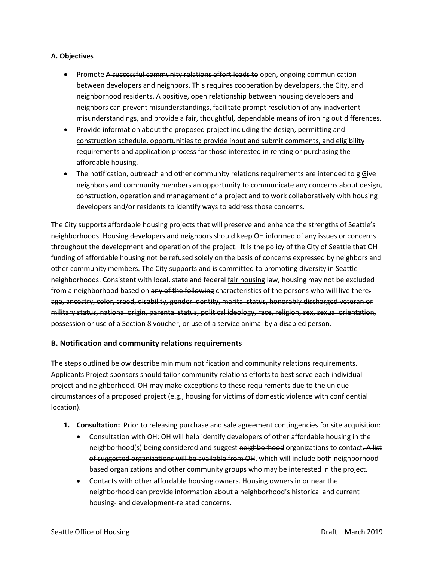#### **A. Objectives**

- Promote A successful community relations effort leads to open, ongoing communication between developers and neighbors. This requires cooperation by developers, the City, and neighborhood residents. A positive, open relationship between housing developers and neighbors can prevent misunderstandings, facilitate prompt resolution of any inadvertent misunderstandings, and provide a fair, thoughtful, dependable means of ironing out differences.
- Provide information about the proposed project including the design, permitting and construction schedule, opportunities to provide input and submit comments, and eligibility requirements and application process for those interested in renting or purchasing the affordable housing.
- The notification, outreach and other community relations requirements are intended to g Give neighbors and community members an opportunity to communicate any concerns about design, construction, operation and management of a project and to work collaboratively with housing developers and/or residents to identify ways to address those concerns.

The City supports affordable housing projects that will preserve and enhance the strengths of Seattle's neighborhoods. Housing developers and neighbors should keep OH informed of any issues or concerns throughout the development and operation of the project. It is the policy of the City of Seattle that OH funding of affordable housing not be refused solely on the basis of concerns expressed by neighbors and other community members. The City supports and is committed to promoting diversity in Seattle neighborhoods. Consistent with local, state and federal fair housing law, housing may not be excluded from a neighborhood based on any of the following characteristics of the persons who will live there: age, ancestry, color, creed, disability, gender identity, marital status, honorably discharged veteran or military status, national origin, parental status, political ideology, race, religion, sex, sexual orientation, possession or use of a Section 8 voucher, or use of a service animal by a disabled person.

### **B. Notification and community relations requirements**

The steps outlined below describe minimum notification and community relations requirements. Applicants Project sponsors should tailor community relations efforts to best serve each individual project and neighborhood. OH may make exceptions to these requirements due to the unique circumstances of a proposed project (e.g., housing for victims of domestic violence with confidential location).

- **1. Consultation:** Prior to releasing purchase and sale agreement contingencies for site acquisition:
	- Consultation with OH: OH will help identify developers of other affordable housing in the neighborhood(s) being considered and suggest neighborhood organizations to contact. A list of suggested organizations will be available from OH, which will include both neighborhoodbased organizations and other community groups who may be interested in the project.
	- Contacts with other affordable housing owners. Housing owners in or near the neighborhood can provide information about a neighborhood's historical and current housing- and development-related concerns.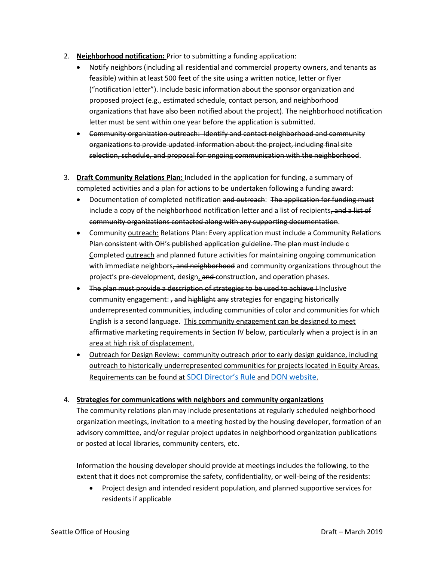- 2. **Neighborhood notification:** Prior to submitting a funding application:
	- Notify neighbors (including all residential and commercial property owners, and tenants as feasible) within at least 500 feet of the site using a written notice, letter or flyer ("notification letter"). Include basic information about the sponsor organization and proposed project (e.g., estimated schedule, contact person, and neighborhood organizations that have also been notified about the project). The neighborhood notification letter must be sent within one year before the application is submitted.
	- Community organization outreach: Identify and contact neighborhood and community organizations to provide updated information about the project, including final site selection, schedule, and proposal for ongoing communication with the neighborhood.
- 3. **Draft Community Relations Plan:** Included in the application for funding, a summary of completed activities and a plan for actions to be undertaken following a funding award:
	- Documentation of completed notification and outreach: The application for funding must include a copy of the neighborhood notification letter and a list of recipients, and a list of community organizations contacted along with any supporting documentation.
	- Community outreach: Relations Plan: Every application must include a Community Relations Plan consistent with OH's published application guideline. The plan must include c Completed outreach and planned future activities for maintaining ongoing communication with immediate neighbors, and neighborhood and community organizations throughout the project's pre-development, design, and construction, and operation phases.
	- The plan must provide a description of strategies to be used to achieve I Inclusive community engagement:  $\frac{1}{2}$  and highlight any strategies for engaging historically underrepresented communities, including communities of color and communities for which English is a second language. This community engagement can be designed to meet affirmative marketing requirements in Section IV below, particularly when a project is in an area at high risk of displacement.
	- Outreach for Design Review: community outreach prior to early design guidance, including outreach to historically underrepresented communities for projects located in Equity Areas. Requirements can be found at [SDCI Director's Rule](http://www.seattle.gov/dpd/codes/dr/DR2018-4.pdf) and [DON website](https://www.seattle.gov/neighborhoods/outreach-and-engagement/design-review-for-early-outreach).

#### 4. **Strategies for communications with neighbors and community organizations**

The community relations plan may include presentations at regularly scheduled neighborhood organization meetings, invitation to a meeting hosted by the housing developer, formation of an advisory committee, and/or regular project updates in neighborhood organization publications or posted at local libraries, community centers, etc.

Information the housing developer should provide at meetings includes the following, to the extent that it does not compromise the safety, confidentiality, or well-being of the residents:

• Project design and intended resident population, and planned supportive services for residents if applicable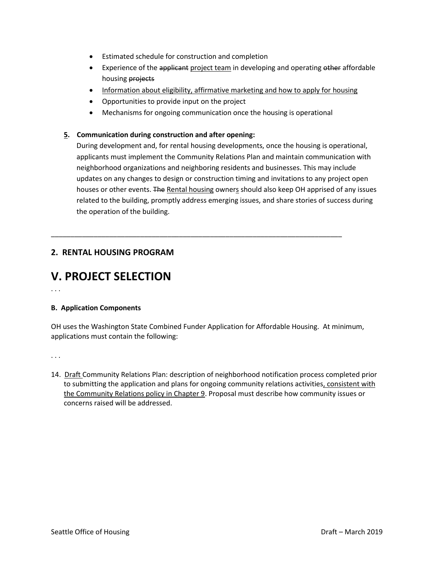- Estimated schedule for construction and completion
- Experience of the applicant project team in developing and operating other affordable housing projects
- Information about eligibility, affirmative marketing and how to apply for housing
- Opportunities to provide input on the project
- Mechanisms for ongoing communication once the housing is operational

#### **5. Communication during construction and after opening:**

During development and, for rental housing developments, once the housing is operational, applicants must implement the Community Relations Plan and maintain communication with neighborhood organizations and neighboring residents and businesses. This may include updates on any changes to design or construction timing and invitations to any project open houses or other events. The Rental housing owners should also keep OH apprised of any issues related to the building, promptly address emerging issues, and share stories of success during the operation of the building.

## **2. RENTAL HOUSING PROGRAM**

# **V. PROJECT SELECTION**

. . .

#### **B. Application Components**

OH uses the Washington State Combined Funder Application for Affordable Housing. At minimum, applications must contain the following:

\_\_\_\_\_\_\_\_\_\_\_\_\_\_\_\_\_\_\_\_\_\_\_\_\_\_\_\_\_\_\_\_\_\_\_\_\_\_\_\_\_\_\_\_\_\_\_\_\_\_\_\_\_\_\_\_\_\_\_\_\_\_\_\_\_\_\_\_\_\_\_\_\_\_\_

. . .

14. Draft Community Relations Plan: description of neighborhood notification process completed prior to submitting the application and plans for ongoing community relations activities, consistent with the Community Relations policy in Chapter 9. Proposal must describe how community issues or concerns raised will be addressed.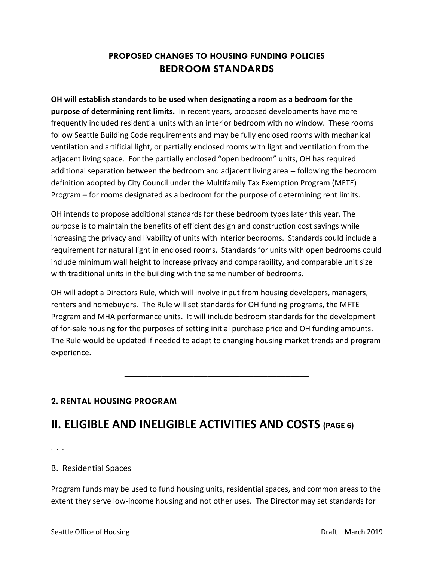## **PROPOSED CHANGES TO HOUSING FUNDING POLICIES BEDROOM STANDARDS**

**OH will establish standards to be used when designating a room as a bedroom for the purpose of determining rent limits.** In recent years, proposed developments have more frequently included residential units with an interior bedroom with no window. These rooms follow Seattle Building Code requirements and may be fully enclosed rooms with mechanical ventilation and artificial light, or partially enclosed rooms with light and ventilation from the adjacent living space. For the partially enclosed "open bedroom" units, OH has required additional separation between the bedroom and adjacent living area -- following the bedroom definition adopted by City Council under the Multifamily Tax Exemption Program (MFTE) Program – for rooms designated as a bedroom for the purpose of determining rent limits.

OH intends to propose additional standards for these bedroom types later this year. The purpose is to maintain the benefits of efficient design and construction cost savings while increasing the privacy and livability of units with interior bedrooms. Standards could include a requirement for natural light in enclosed rooms. Standards for units with open bedrooms could include minimum wall height to increase privacy and comparability, and comparable unit size with traditional units in the building with the same number of bedrooms.

OH will adopt a Directors Rule, which will involve input from housing developers, managers, renters and homebuyers. The Rule will set standards for OH funding programs, the MFTE Program and MHA performance units. It will include bedroom standards for the development of for-sale housing for the purposes of setting initial purchase price and OH funding amounts. The Rule would be updated if needed to adapt to changing housing market trends and program experience.

**\_\_\_\_\_\_\_\_\_\_\_\_\_\_\_\_\_\_\_\_\_\_\_\_\_\_\_\_\_\_\_\_\_\_\_\_\_\_\_\_**

## **2. RENTAL HOUSING PROGRAM**

# **II. ELIGIBLE AND INELIGIBLE ACTIVITIES AND COSTS (PAGE 6)**

. . .

B. Residential Spaces

Program funds may be used to fund housing units, residential spaces, and common areas to the extent they serve low-income housing and not other uses. The Director may set standards for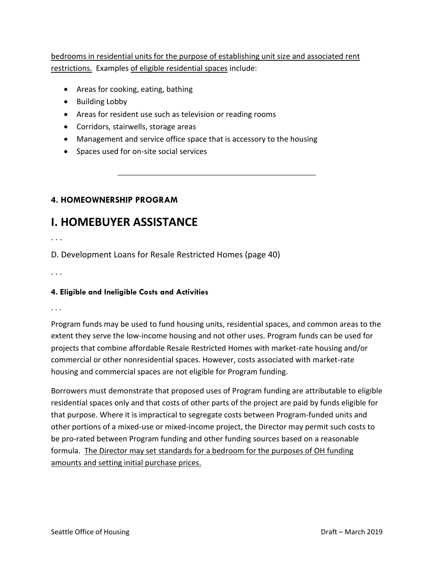bedrooms in residential units for the purpose of establishing unit size and associated rent restrictions. Examples of eligible residential spaces include:

**\_\_\_\_\_\_\_\_\_\_\_\_\_\_\_\_\_\_\_\_\_\_\_\_\_\_\_\_\_\_\_\_\_\_\_\_\_\_\_\_\_\_\_**

- Areas for cooking, eating, bathing
- Building Lobby
- Areas for resident use such as television or reading rooms
- Corridors, stairwells, storage areas
- Management and service office space that is accessory to the housing
- Spaces used for on-site social services

## **4. HOMEOWNERSHIP PROGRAM**

# **I. HOMEBUYER ASSISTANCE**

. . .

D. Development Loans for Resale Restricted Homes (page 40)

. . .

## **4. Eligible and Ineligible Costs and Activities**

. . .

Program funds may be used to fund housing units, residential spaces, and common areas to the extent they serve the low-income housing and not other uses. Program funds can be used for projects that combine affordable Resale Restricted Homes with market-rate housing and/or commercial or other nonresidential spaces. However, costs associated with market-rate housing and commercial spaces are not eligible for Program funding.

Borrowers must demonstrate that proposed uses of Program funding are attributable to eligible residential spaces only and that costs of other parts of the project are paid by funds eligible for that purpose. Where it is impractical to segregate costs between Program-funded units and other portions of a mixed-use or mixed-income project, the Director may permit such costs to be pro-rated between Program funding and other funding sources based on a reasonable formula. The Director may set standards for a bedroom for the purposes of OH funding amounts and setting initial purchase prices.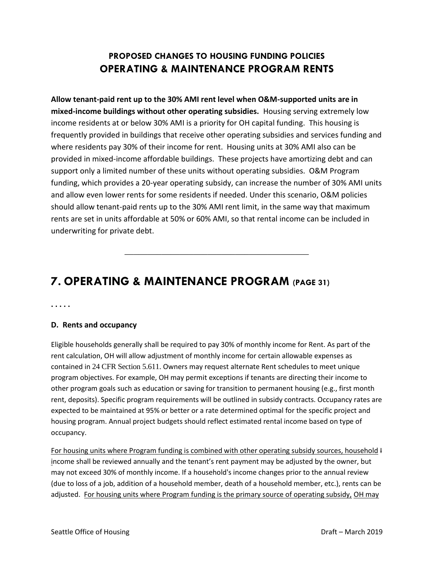## **PROPOSED CHANGES TO HOUSING FUNDING POLICIES OPERATING & MAINTENANCE PROGRAM RENTS**

**Allow tenant-paid rent up to the 30% AMI rent level when O&M-supported units are in mixed-income buildings without other operating subsidies.** Housing serving extremely low income residents at or below 30% AMI is a priority for OH capital funding. This housing is frequently provided in buildings that receive other operating subsidies and services funding and where residents pay 30% of their income for rent. Housing units at 30% AMI also can be provided in mixed-income affordable buildings. These projects have amortizing debt and can support only a limited number of these units without operating subsidies. O&M Program funding, which provides a 20-year operating subsidy, can increase the number of 30% AMI units and allow even lower rents for some residents if needed. Under this scenario, O&M policies should allow tenant-paid rents up to the 30% AMI rent limit, in the same way that maximum rents are set in units affordable at 50% or 60% AMI, so that rental income can be included in underwriting for private debt.

**\_\_\_\_\_\_\_\_\_\_\_\_\_\_\_\_\_\_\_\_\_\_\_\_\_\_\_\_\_\_\_\_\_\_\_\_\_\_\_\_**

# **7. OPERATING & MAINTENANCE PROGRAM (PAGE 31)**

**. . . . .**

### **D. Rents and occupancy**

Eligible households generally shall be required to pay 30% of monthly income for Rent. As part of the rent calculation, OH will allow adjustment of monthly income for certain allowable expenses as contained in 24 CFR Section 5.611. Owners may request alternate Rent schedules to meet unique program objectives. For example, OH may permit exceptions if tenants are directing their income to other program goals such as education or saving for transition to permanent housing (e.g., first month rent, deposits). Specific program requirements will be outlined in subsidy contracts. Occupancy rates are expected to be maintained at 95% or better or a rate determined optimal for the specific project and housing program. Annual project budgets should reflect estimated rental income based on type of occupancy.

For housing units where Program funding is combined with other operating subsidy sources, household I income shall be reviewed annually and the tenant's rent payment may be adjusted by the owner, but may not exceed 30% of monthly income. If a household's income changes prior to the annual review (due to loss of a job, addition of a household member, death of a household member, etc.), rents can be adjusted. For housing units where Program funding is the primary source of operating subsidy, OH may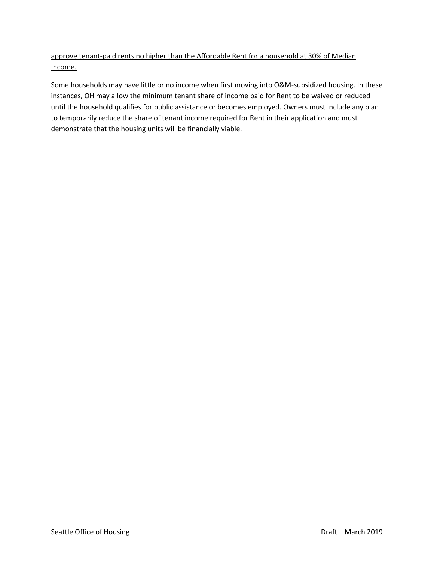approve tenant-paid rents no higher than the Affordable Rent for a household at 30% of Median Income.

Some households may have little or no income when first moving into O&M-subsidized housing. In these instances, OH may allow the minimum tenant share of income paid for Rent to be waived or reduced until the household qualifies for public assistance or becomes employed. Owners must include any plan to temporarily reduce the share of tenant income required for Rent in their application and must demonstrate that the housing units will be financially viable.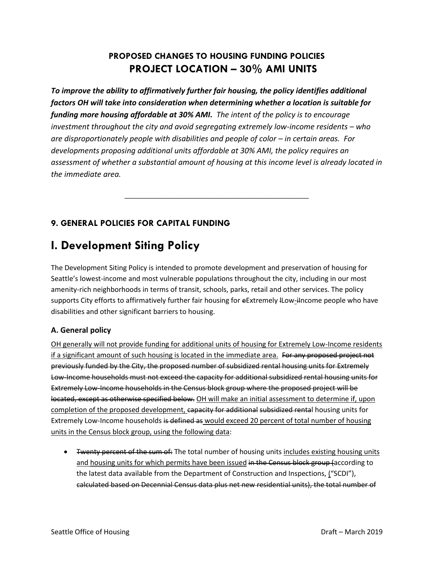## **PROPOSED CHANGES TO HOUSING FUNDING POLICIES PROJECT LOCATION – 30% AMI UNITS**

*To improve the ability to affirmatively further fair housing, the policy identifies additional factors OH will take into consideration when determining whether a location is suitable for funding more housing affordable at 30% AMI. The intent of the policy is to encourage investment throughout the city and avoid segregating extremely low-income residents – who are disproportionately people with disabilities and people of color – in certain areas. For developments proposing additional units affordable at 30% AMI, the policy requires an assessment of whether a substantial amount of housing at this income level is already located in the immediate area.*

**\_\_\_\_\_\_\_\_\_\_\_\_\_\_\_\_\_\_\_\_\_\_\_\_\_\_\_\_\_\_\_\_\_\_\_\_\_\_\_\_**

## **9. GENERAL POLICIES FOR CAPITAL FUNDING**

# **I. Development Siting Policy**

The Development Siting Policy is intended to promote development and preservation of housing for Seattle's lowest-income and most vulnerable populations throughout the city, including in our most amenity-rich neighborhoods in terms of transit, schools, parks, retail and other services. The policy supports City efforts to affirmatively further fair housing for eExtremely ILow-iIncome people who have disabilities and other significant barriers to housing.

## **A. General policy**

OH generally will not provide funding for additional units of housing for Extremely Low-Income residents if a significant amount of such housing is located in the immediate area. For any proposed project not previously funded by the City, the proposed number of subsidized rental housing units for Extremely Low-Income households must not exceed the capacity for additional subsidized rental housing units for Extremely Low-Income households in the Census block group where the proposed project will be located, except as otherwise specified below. OH will make an initial assessment to determine if, upon completion of the proposed development, capacity for additional subsidized rental housing units for Extremely Low-Income households is defined as would exceed 20 percent of total number of housing units in the Census block group, using the following data:

• Twenty percent of the sum of: The total number of housing units includes existing housing units and housing units for which permits have been issued in the Census block group (according to the latest data available from the Department of Construction and Inspections, ("SCDI"), calculated based on Decennial Census data plus net new residential units), the total number of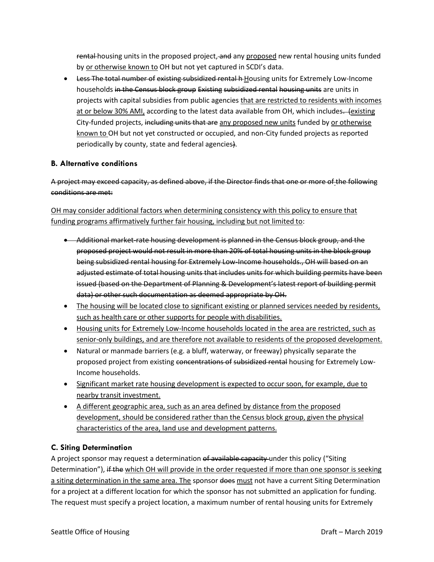rental housing units in the proposed project, and any proposed new rental housing units funded by or otherwise known to OH but not yet captured in SCDI's data.

• Less The total number of existing subsidized rental h-Housing units for Extremely Low-Income households in the Census block group Existing subsidized rental housing units are units in projects with capital subsidies from public agencies that are restricted to residents with incomes at or below 30% AMI, according to the latest data available from OH, which includes. (existing City-funded projects, including units that are any proposed new units funded by or otherwise known to OH but not yet constructed or occupied, and non-City funded projects as reported periodically by county, state and federal agencies).

### **B. Alternative conditions**

A project may exceed capacity, as defined above, if the Director finds that one or more of the following conditions are met:

OH may consider additional factors when determining consistency with this policy to ensure that funding programs affirmatively further fair housing, including but not limited to:

- Additional market-rate housing development is planned in the Census block group, and the proposed project would not result in more than 20% of total housing units in the block group being subsidized rental housing for Extremely Low-Income households., OH will based on an adjusted estimate of total housing units that includes units for which building permits have been issued (based on the Department of Planning & Development's latest report of building permit data) or other such documentation as deemed appropriate by OH.
- The housing will be located close to significant existing or planned services needed by residents, such as health care or other supports for people with disabilities.
- Housing units for Extremely Low-Income households located in the area are restricted, such as senior-only buildings, and are therefore not available to residents of the proposed development.
- Natural or manmade barriers (e.g. a bluff, waterway, or freeway) physically separate the proposed project from existing concentrations of subsidized rental housing for Extremely Low-Income households.
- Significant market rate housing development is expected to occur soon, for example, due to nearby transit investment.
- A different geographic area, such as an area defined by distance from the proposed development, should be considered rather than the Census block group, given the physical characteristics of the area, land use and development patterns.

## **C. Siting Determination**

A project sponsor may request a determination of available capacity under this policy ("Siting Determination"), if the which OH will provide in the order requested if more than one sponsor is seeking a siting determination in the same area. The sponsor does must not have a current Siting Determination for a project at a different location for which the sponsor has not submitted an application for funding. The request must specify a project location, a maximum number of rental housing units for Extremely